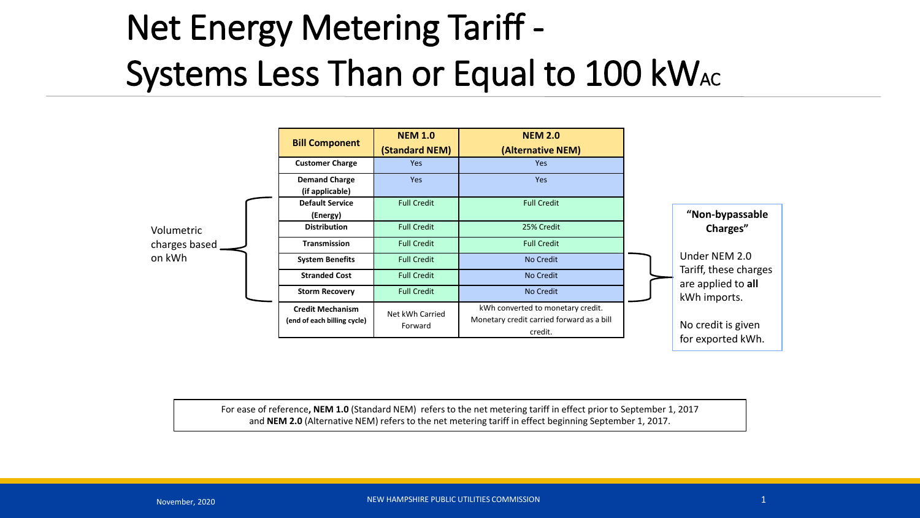## Net Energy Metering Tariff - Systems Less Than or Equal to 100 kWAC

|                                       | <b>Bill Component</b>                                  | <b>NEM 1.0</b><br>(Standard NEM) | <b>NEM 2.0</b><br>(Alternative NEM)                                                       |                                                                                                                                                        |
|---------------------------------------|--------------------------------------------------------|----------------------------------|-------------------------------------------------------------------------------------------|--------------------------------------------------------------------------------------------------------------------------------------------------------|
| Volumetric<br>charges based<br>on kWh | <b>Customer Charge</b>                                 | <b>Yes</b>                       | <b>Yes</b>                                                                                |                                                                                                                                                        |
|                                       | <b>Demand Charge</b><br>(if applicable)                | <b>Yes</b>                       | <b>Yes</b>                                                                                |                                                                                                                                                        |
|                                       | <b>Default Service</b><br>(Energy)                     | <b>Full Credit</b>               | <b>Full Credit</b>                                                                        | "Non-bypassable<br>Charges"<br>Under NEM 2.0<br>Tariff, these charges<br>are applied to all<br>kWh imports.<br>No credit is given<br>for exported kWh. |
|                                       | <b>Distribution</b>                                    | <b>Full Credit</b>               | 25% Credit                                                                                |                                                                                                                                                        |
|                                       | <b>Transmission</b>                                    | <b>Full Credit</b>               | <b>Full Credit</b>                                                                        |                                                                                                                                                        |
|                                       | <b>System Benefits</b>                                 | <b>Full Credit</b>               | No Credit                                                                                 |                                                                                                                                                        |
|                                       | <b>Stranded Cost</b>                                   | <b>Full Credit</b>               | No Credit                                                                                 |                                                                                                                                                        |
|                                       | <b>Storm Recovery</b>                                  | <b>Full Credit</b>               | No Credit                                                                                 |                                                                                                                                                        |
|                                       | <b>Credit Mechanism</b><br>(end of each billing cycle) | Net kWh Carried<br>Forward       | kWh converted to monetary credit.<br>Monetary credit carried forward as a bill<br>credit. |                                                                                                                                                        |

For ease of reference**, NEM 1.0** (Standard NEM) refers to the net metering tariff in effect prior to September 1, 2017 and **NEM 2.0** (Alternative NEM) refers to the net metering tariff in effect beginning September 1, 2017.